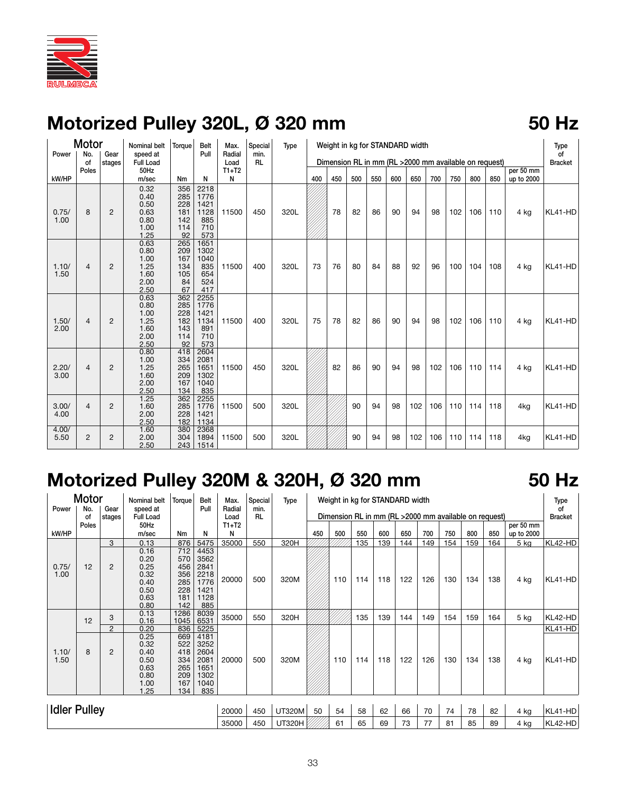

### **Motorized Pulley 320L, Ø 320 mm 50 Hz**

### Motor Nominal belt Torque Belt Max. Special Type Weight in kg for STANDARD width Type Power No. Gear speed at Pull Radial min.<br>| of stages Full Load | Load RL Dimension RL in mm (RL >2000 mm available on request) Bracket Poles 50Hz T1+T2 per 50 mm kW/HP | | | m/sec | Nm | N | N | | | | |400 |450 |500 |550 |600 |650 |700 |750 |800 |850 |up to 2000  $\begin{array}{|c|c|c|c|}\n 0.32 & 356 & 2218 \\
0.40 & 285 & 1776\n\end{array}$  $0.40$  285<br> $0.50$  228  $\begin{array}{|c|c|c|c|c|}\n 0.50 & 228 & 1421 \\
\hline\n 0.63 & 181 & 1128\n \end{array}$ 0.75/ | 8 | 2 | 0.63 | 181 |1128 |11500 | 450 | 320L  $\,\,\%\,$  78 | 82 | 86 | 90 | 94 | 98 |102 |106 |110 | 4kg |KL41-HD 1.00 0.80 142 885 1.00 114 710<br>1.25 92 573  $\begin{array}{|c|c|c|}\n 1.25 & 92 \\
\hline\n 0.63 & 265\n \end{array}$ 0.63 265 1651<br>0.80 209 1302  $\begin{array}{c|c} 0.80 & 209 & 1302 \\ 1.00 & 167 & 1040 \end{array}$ 1.00 167 1040<br>1.25 134 835 1.10/ | 4 | 2 | 1.25 | 134 | 835 | 11500 | 400 | 320L | 73 | 76 | 80 | 84 | 88 | 92 | 96 | 100 | 104 | 108 | 4kg |KL41-HD 1.50 | | | 1.60 | 105 | 654 2.00 84 524<br>2.50 67 417  $\begin{array}{|c|c|c|}\n 2.50 & 67 \\
\hline\n 0.63 & 362\n \end{array}$ 0.63 362 2255<br>0.80 285 1776 285 1776<br>228 1421  $\begin{array}{c|c} 1.00 & 228 & 1421 \\ 1.25 & 182 & 1134 \end{array}$ 1.50/ 4 2 1.25 182 1134 11500 400 320L 75 78 82 86 90 94 98 102 106 110 4 kg KL41-HD 2.00 1.60 143 891  $\begin{array}{|c|c|c|c|c|}\n 2.00 & 114 & 710 \\
2.50 & 92 & 573\n\end{array}$  $\begin{array}{c|c}\n 2.50 & 92 \\
\hline\n 0.80 & 418\n \end{array}$  $\begin{array}{|c|c|c|c|}\n \hline\n 0.80 & 418 & 2604 \\
\hline\n 1.00 & 334 & 2081\n \end{array}$ 1.00 334 2081<br>1.25 265 1651 2.20/ | 4 | 2 | 1.25 | 265 | 1651 | 11500 | 450 | 320L  $\,\,\mathscr{W}\!\!\mathscr{B}$ 2 | 86 | 90 | 94 | 98 | 102 | 106 | 110 | 114 | 4kg |KL41-HD 3.00 1.60 209 1302 2.00 167 1040<br>2.50 134 835  $\begin{array}{|c|c|c|}\n 2.50 & 134 \\
\hline\n 1.25 & 362\n \end{array}$ 1.25 362 2255<br>1.60 285 1776 3.00/ | 4 | 2 | 1.60 | 285 |1776 |11500 | 500 | 320L *\////////*///////////90 | 94 | 98 |102 |106 |110 |114 |118 | 4kg |KL41-HD 4.00 2.00 2.28 1421 2.50 182 1134<br>1.60 380 2368 4.00/ 1.60 380 2368 5.50 2 2 2.00 304 1894 11500 500 320L 90 94 98 102 106 110 114 118 4kg KL41-HD 2.50 243 1514

## **Motorized Pulley 320M & 320H, Ø 320 mm 50 Hz**

| Motor               |             | Nominal belt   | Torque                                                       | Belt                                                 | Max.                                                        | Special         | Type      | Weight in kg for STANDARD width |                                                       |     |     |     |     |     |     | Type |     |            |                |
|---------------------|-------------|----------------|--------------------------------------------------------------|------------------------------------------------------|-------------------------------------------------------------|-----------------|-----------|---------------------------------|-------------------------------------------------------|-----|-----|-----|-----|-----|-----|------|-----|------------|----------------|
| Power               | No.         | Gear           | speed at                                                     |                                                      | Pull                                                        | Radial          | min.      |                                 | Dimension RL in mm (RL >2000 mm available on request) |     |     |     |     |     |     |      | of  |            |                |
|                     | of<br>Poles | stages         | <b>Full Load</b><br>50Hz                                     |                                                      |                                                             | Load<br>$T1+T2$ | <b>RL</b> |                                 |                                                       |     |     |     |     |     |     |      |     | per 50 mm  | <b>Bracket</b> |
| kW/HP               |             |                | m/sec                                                        | Nm                                                   | N                                                           | N               |           |                                 | 450                                                   | 500 | 550 | 600 | 650 | 700 | 750 | 800  | 850 | up to 2000 |                |
|                     |             | 3              | 0.13                                                         | 876                                                  | 5475                                                        | 35000           | 550       | 320H                            |                                                       |     | 135 | 139 | 144 | 149 | 154 | 159  | 164 | $5$ kg     | KL42-HD        |
| 0.75/<br>1.00       | 12          | $\overline{2}$ | 0.16<br>0.20<br>0.25<br>0.32<br>0.40<br>0.50<br>0.63         | 712<br>570<br>456<br>356<br>285<br>228<br>181        | 4453<br>3562<br>2841<br>2218<br>1776<br>1421<br>1128        | 20000           | 500       | 320M                            |                                                       | 110 | 114 | 118 | 122 | 126 | 130 | 134  | 138 | 4 kg       | KL41-HD        |
|                     |             |                | 0.80                                                         | 142                                                  | 885                                                         |                 |           |                                 |                                                       |     |     |     |     |     |     |      |     |            |                |
| 1.10/<br>1.50       | 12          | 3              | 0.13<br>0.16                                                 | 1286<br>1045                                         | 8039<br>6531                                                | 35000           | 550       | 320H                            |                                                       |     | 135 | 139 | 144 | 149 | 154 | 159  | 164 | $5$ kg     | KL42-HD        |
|                     |             | $\overline{2}$ | 0.20                                                         | 836                                                  | 5225                                                        |                 |           |                                 |                                                       |     |     |     |     |     |     |      |     |            | KL41-HD        |
|                     | 8           | 2              | 0.25<br>0.32<br>0.40<br>0.50<br>0.63<br>0.80<br>1.00<br>1.25 | 669<br>522<br>418<br>334<br>265<br>209<br>167<br>134 | 4181<br>3252<br>2604<br>2081<br>1651<br>1302<br>1040<br>835 | 20000           | 500       | 320M                            |                                                       | 110 | 114 | 118 | 122 | 126 | 130 | 134  | 138 | 4 kg       | KL41-HD        |
| <b>Idler Pulley</b> |             |                |                                                              |                                                      |                                                             | 20000           | 450       | <b>UT320M</b>                   | 50                                                    | 54  | 58  | 62  | 66  | 70  | 74  | 78   | 82  | 4 kg       | KL41-HD        |
|                     |             |                |                                                              |                                                      |                                                             | 35000           | 450       | <b>UT320H</b>                   |                                                       | 61  | 65  | 69  | 73  | 77  | 81  | 85   | 89  | 4 kg       | KL42-HD        |